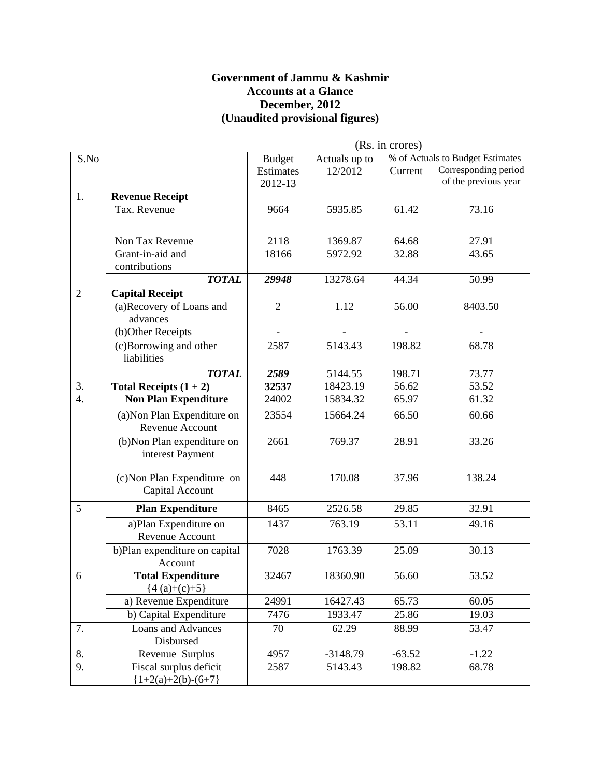#### **Government of Jammu & Kashmir Accounts at a Glance December, 2012 (Unaudited provisional figures)**

|                  |                               | (Rs. in crores) |               |          |                                  |
|------------------|-------------------------------|-----------------|---------------|----------|----------------------------------|
| S.No             |                               | <b>Budget</b>   | Actuals up to |          | % of Actuals to Budget Estimates |
|                  |                               | Estimates       | 12/2012       | Current  | Corresponding period             |
|                  |                               | 2012-13         |               |          | of the previous year             |
| 1.               | <b>Revenue Receipt</b>        |                 |               |          |                                  |
|                  | Tax. Revenue                  | 9664            | 5935.85       | 61.42    | 73.16                            |
|                  |                               |                 |               |          |                                  |
|                  | Non Tax Revenue               | 2118            | 1369.87       | 64.68    | 27.91                            |
|                  | Grant-in-aid and              | 18166           | 5972.92       | 32.88    | 43.65                            |
|                  | contributions                 |                 |               |          |                                  |
|                  | <b>TOTAL</b>                  | 29948           | 13278.64      | 44.34    | 50.99                            |
| $\overline{2}$   | <b>Capital Receipt</b>        |                 |               |          |                                  |
|                  | (a)Recovery of Loans and      | $\overline{2}$  | 1.12          | 56.00    | 8403.50                          |
|                  | advances                      |                 |               |          |                                  |
|                  | (b)Other Receipts             |                 |               |          |                                  |
|                  | (c)Borrowing and other        | 2587            | 5143.43       | 198.82   | 68.78                            |
|                  | liabilities                   |                 |               |          |                                  |
|                  | <b>TOTAL</b>                  | 2589            | 5144.55       | 198.71   | 73.77                            |
| 3.               | Total Receipts $(1 + 2)$      | 32537           | 18423.19      | 56.62    | 53.52                            |
| $\overline{4}$ . | <b>Non Plan Expenditure</b>   | 24002           | 15834.32      | 65.97    | 61.32                            |
|                  | (a) Non Plan Expenditure on   | 23554           | 15664.24      | 66.50    | 60.66                            |
|                  | Revenue Account               |                 |               |          |                                  |
|                  | (b) Non Plan expenditure on   | 2661            | 769.37        | 28.91    | 33.26                            |
|                  | interest Payment              |                 |               |          |                                  |
|                  |                               |                 |               |          |                                  |
|                  | (c) Non Plan Expenditure on   | 448             | 170.08        | 37.96    | 138.24                           |
|                  | Capital Account               |                 |               |          |                                  |
| 5                | <b>Plan Expenditure</b>       | 8465            | 2526.58       | 29.85    | 32.91                            |
|                  | a)Plan Expenditure on         | 1437            | 763.19        | 53.11    | 49.16                            |
|                  | Revenue Account               |                 |               |          |                                  |
|                  | b)Plan expenditure on capital | 7028            | 1763.39       | 25.09    | 30.13                            |
|                  | Account                       |                 |               |          |                                  |
| 6                | <b>Total Expenditure</b>      | 32467           | 18360.90      | 56.60    | 53.52                            |
|                  | ${4(a)+(c)+5}$                |                 |               |          |                                  |
|                  | a) Revenue Expenditure        | 24991           | 16427.43      | 65.73    | 60.05                            |
|                  | b) Capital Expenditure        | 7476            | 1933.47       | 25.86    | 19.03                            |
| 7.               | <b>Loans and Advances</b>     | 70              | 62.29         | 88.99    | 53.47                            |
|                  | Disbursed                     |                 |               |          |                                  |
| 8.               | Revenue Surplus               | 4957            | $-3148.79$    | $-63.52$ | $-1.22$                          |
| 9.               | Fiscal surplus deficit        | 2587            | 5143.43       | 198.82   | 68.78                            |
|                  | ${1+2(a)+2(b)-(6+7)}$         |                 |               |          |                                  |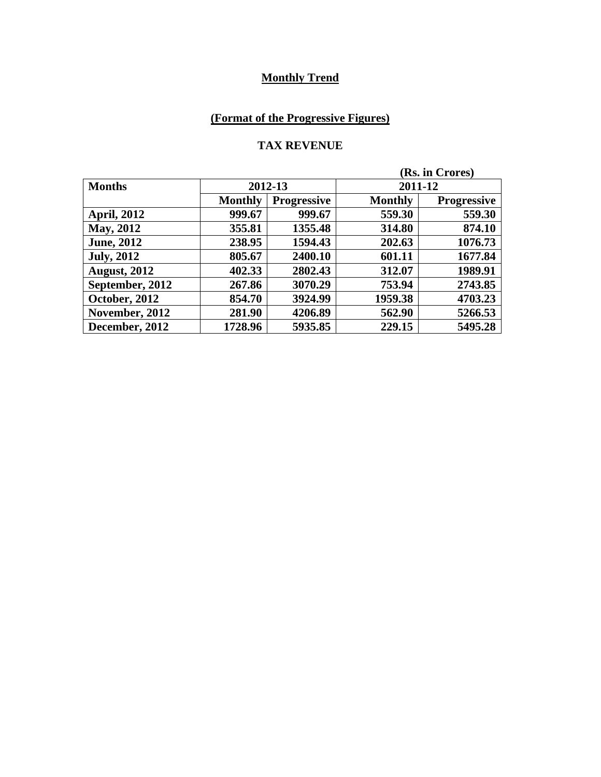## **(Format of the Progressive Figures)**

#### **TAX REVENUE**

| (Rs. in Crores)     |                |                    |                |                    |
|---------------------|----------------|--------------------|----------------|--------------------|
| <b>Months</b>       | 2012-13        |                    |                | 2011-12            |
|                     | <b>Monthly</b> | <b>Progressive</b> | <b>Monthly</b> | <b>Progressive</b> |
| <b>April, 2012</b>  | 999.67         | 999.67             | 559.30         | 559.30             |
| <b>May, 2012</b>    | 355.81         | 1355.48            | 314.80         | 874.10             |
| <b>June, 2012</b>   | 238.95         | 1594.43            | 202.63         | 1076.73            |
| <b>July, 2012</b>   | 805.67         | 2400.10            | 601.11         | 1677.84            |
| <b>August, 2012</b> | 402.33         | 2802.43            | 312.07         | 1989.91            |
| September, 2012     | 267.86         | 3070.29            | 753.94         | 2743.85            |
| October, 2012       | 854.70         | 3924.99            | 1959.38        | 4703.23            |
| November, 2012      | 281.90         | 4206.89            | 562.90         | 5266.53            |
| December, 2012      | 1728.96        | 5935.85            | 229.15         | 5495.28            |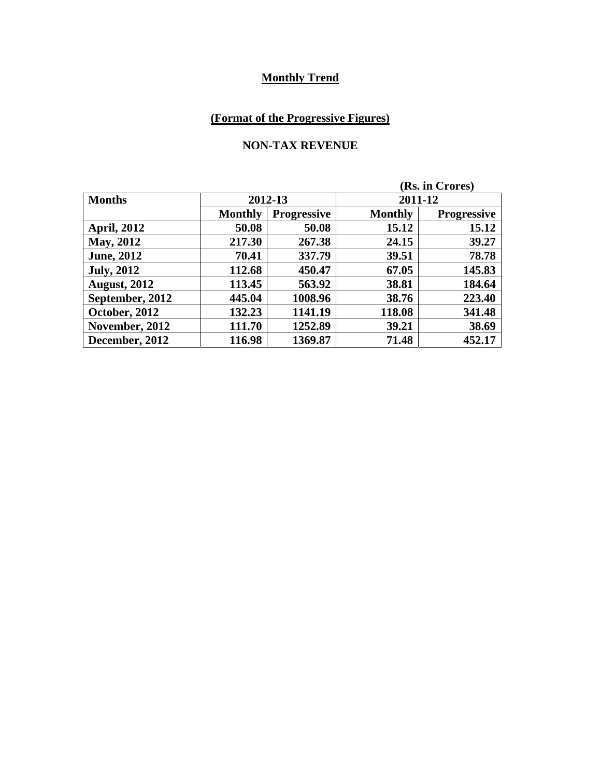## **(Format of the Progressive Figures)**

### **NON-TAX REVENUE**

| (Rs. in Crores)     |                |                    |                |                    |  |
|---------------------|----------------|--------------------|----------------|--------------------|--|
| <b>Months</b>       | 2012-13        |                    |                | 2011-12            |  |
|                     | <b>Monthly</b> | <b>Progressive</b> | <b>Monthly</b> | <b>Progressive</b> |  |
| <b>April, 2012</b>  | 50.08          | 50.08              | 15.12          | 15.12              |  |
| May, 2012           | 217.30         | 267.38             | 24.15          | 39.27              |  |
| <b>June, 2012</b>   | 70.41          | 337.79             | 39.51          | 78.78              |  |
| <b>July, 2012</b>   | 112.68         | 450.47             | 67.05          | 145.83             |  |
| <b>August, 2012</b> | 113.45         | 563.92             | 38.81          | 184.64             |  |
| September, 2012     | 445.04         | 1008.96            | 38.76          | 223.40             |  |
| October, 2012       | 132.23         | 1141.19            | 118.08         | 341.48             |  |
| November, 2012      | 111.70         | 1252.89            | 39.21          | 38.69              |  |
| December, 2012      | 116.98         | 1369.87            | 71.48          | 452.17             |  |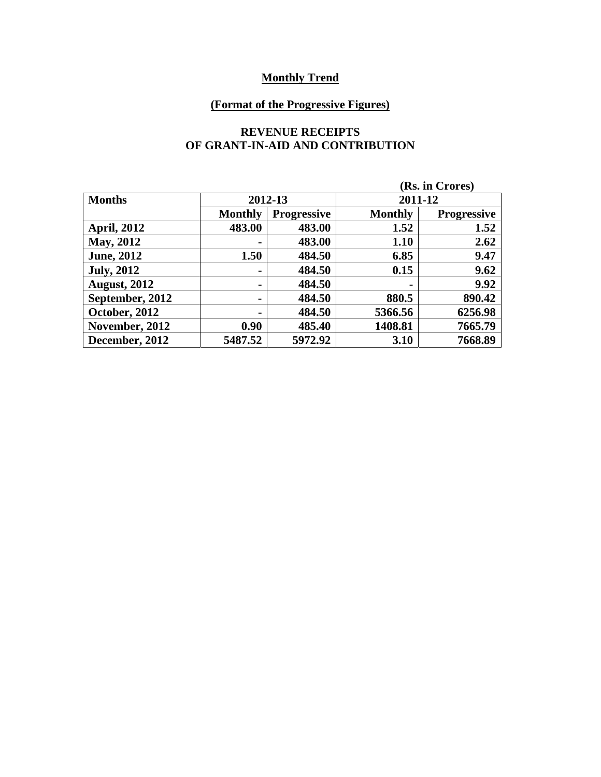## **(Format of the Progressive Figures)**

#### **REVENUE RECEIPTS OF GRANT-IN-AID AND CONTRIBUTION**

| (Rs. in Crores)      |                |                    |                |                    |  |
|----------------------|----------------|--------------------|----------------|--------------------|--|
| <b>Months</b>        | 2012-13        |                    |                | 2011-12            |  |
|                      | <b>Monthly</b> | <b>Progressive</b> | <b>Monthly</b> | <b>Progressive</b> |  |
| <b>April, 2012</b>   | 483.00         | 483.00             | 1.52           | 1.52               |  |
| <b>May, 2012</b>     |                | 483.00             | 1.10           | 2.62               |  |
| <b>June, 2012</b>    | 1.50           | 484.50             | 6.85           | 9.47               |  |
| <b>July, 2012</b>    | $\blacksquare$ | 484.50             | 0.15           | 9.62               |  |
| <b>August, 2012</b>  |                | 484.50             | $\blacksquare$ | 9.92               |  |
| September, 2012      | $\blacksquare$ | 484.50             | 880.5          | 890.42             |  |
| <b>October, 2012</b> | $\blacksquare$ | 484.50             | 5366.56        | 6256.98            |  |
| November, 2012       | 0.90           | 485.40             | 1408.81        | 7665.79            |  |
| December, 2012       | 5487.52        | 5972.92            | 3.10           | 7668.89            |  |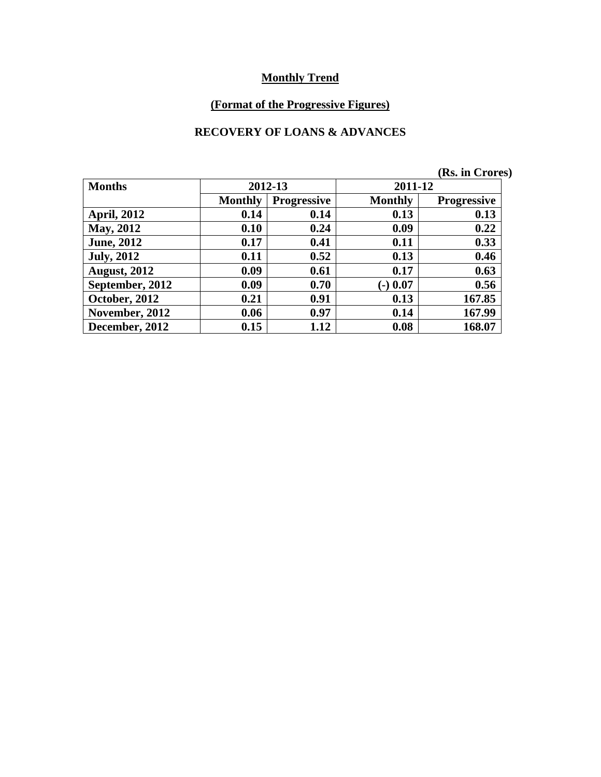## **(Format of the Progressive Figures)**

#### **RECOVERY OF LOANS & ADVANCES**

|                     |                |                    |                | (Rs. in Crores)    |
|---------------------|----------------|--------------------|----------------|--------------------|
| <b>Months</b>       |                | 2012-13            | 2011-12        |                    |
|                     | <b>Monthly</b> | <b>Progressive</b> | <b>Monthly</b> | <b>Progressive</b> |
| <b>April, 2012</b>  | 0.14           | 0.14               | 0.13           | 0.13               |
| May, 2012           | 0.10           | 0.24               | 0.09           | 0.22               |
| <b>June, 2012</b>   | 0.17           | 0.41               | 0.11           | 0.33               |
| <b>July, 2012</b>   | 0.11           | 0.52               | 0.13           | 0.46               |
| <b>August, 2012</b> | 0.09           | 0.61               | 0.17           | 0.63               |
| September, 2012     | 0.09           | 0.70               | $(-)$ 0.07     | 0.56               |
| October, 2012       | 0.21           | 0.91               | 0.13           | 167.85             |
| November, 2012      | 0.06           | 0.97               | 0.14           | 167.99             |
| December, 2012      | 0.15           | 1.12               | 0.08           | 168.07             |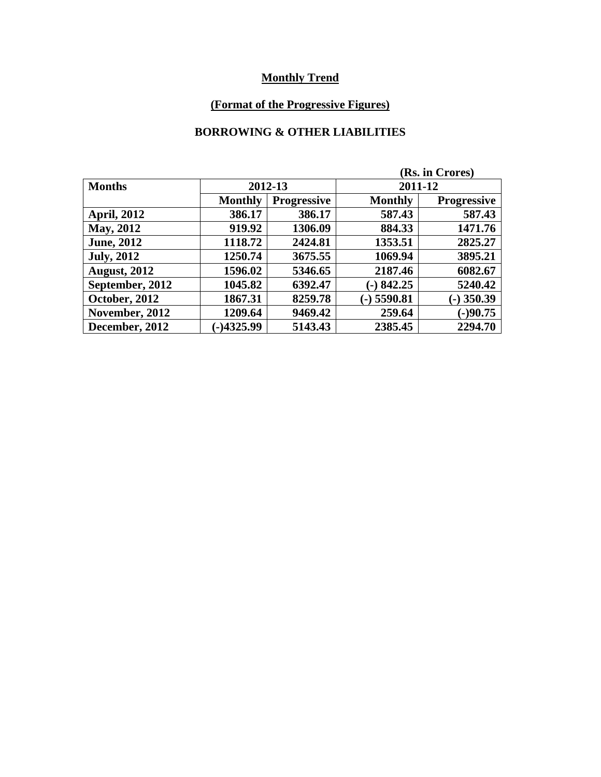## **(Format of the Progressive Figures)**

### **BORROWING & OTHER LIABILITIES**

| (Rs. in Crores)      |                |                    |                |                    |  |
|----------------------|----------------|--------------------|----------------|--------------------|--|
| <b>Months</b>        |                | 2012-13            |                | 2011-12            |  |
|                      | <b>Monthly</b> | <b>Progressive</b> | <b>Monthly</b> | <b>Progressive</b> |  |
| <b>April, 2012</b>   | 386.17         | 386.17             | 587.43         | 587.43             |  |
| <b>May, 2012</b>     | 919.92         | 1306.09            | 884.33         | 1471.76            |  |
| <b>June, 2012</b>    | 1118.72        | 2424.81            | 1353.51        | 2825.27            |  |
| <b>July, 2012</b>    | 1250.74        | 3675.55            | 1069.94        | 3895.21            |  |
| <b>August, 2012</b>  | 1596.02        | 5346.65            | 2187.46        | 6082.67            |  |
| September, 2012      | 1045.82        | 6392.47            | $-)842.25$     | 5240.42            |  |
| <b>October, 2012</b> | 1867.31        | 8259.78            | $(-)$ 5590.81  | $-$ ) 350.39       |  |
| November, 2012       | 1209.64        | 9469.42            | 259.64         | $(-)90.75$         |  |
| December, 2012       | $-14325.99$    | 5143.43            | 2385.45        | 2294.70            |  |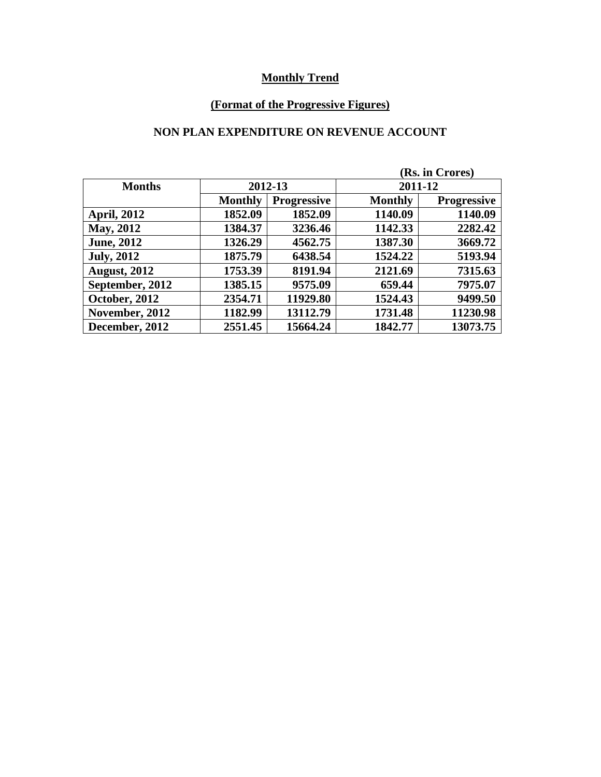## **(Format of the Progressive Figures)**

### **NON PLAN EXPENDITURE ON REVENUE ACCOUNT**

| (Rs. in Crores)     |                |                    |                |                    |  |
|---------------------|----------------|--------------------|----------------|--------------------|--|
| <b>Months</b>       |                | 2012-13            |                | 2011-12            |  |
|                     | <b>Monthly</b> | <b>Progressive</b> | <b>Monthly</b> | <b>Progressive</b> |  |
| <b>April, 2012</b>  | 1852.09        | 1852.09            | 1140.09        | 1140.09            |  |
| May, 2012           | 1384.37        | 3236.46            | 1142.33        | 2282.42            |  |
| <b>June</b> , 2012  | 1326.29        | 4562.75            | 1387.30        | 3669.72            |  |
| <b>July, 2012</b>   | 1875.79        | 6438.54            | 1524.22        | 5193.94            |  |
| <b>August, 2012</b> | 1753.39        | 8191.94            | 2121.69        | 7315.63            |  |
| September, 2012     | 1385.15        | 9575.09            | 659.44         | 7975.07            |  |
| October, 2012       | 2354.71        | 11929.80           | 1524.43        | 9499.50            |  |
| November, 2012      | 1182.99        | 13112.79           | 1731.48        | 11230.98           |  |
| December, 2012      | 2551.45        | 15664.24           | 1842.77        | 13073.75           |  |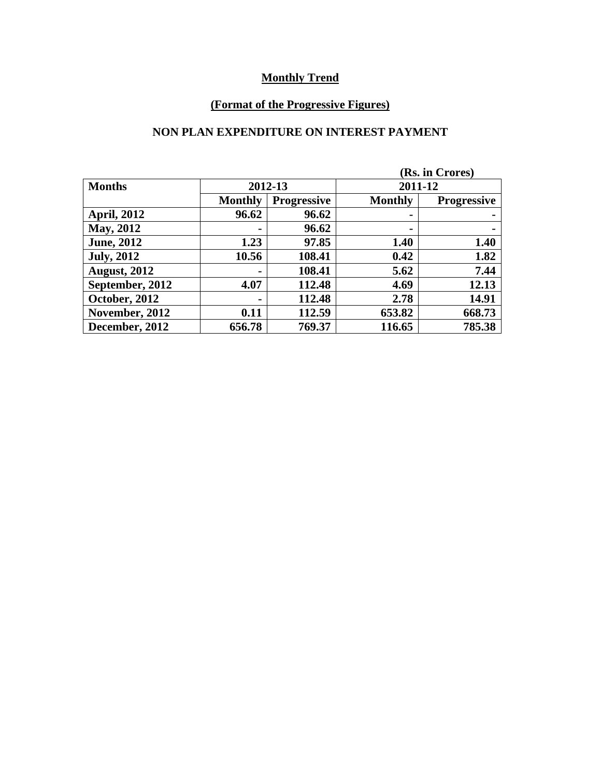## **(Format of the Progressive Figures)**

#### **NON PLAN EXPENDITURE ON INTEREST PAYMENT**

| (Rs. in Crores)     |                |                    |                |                    |
|---------------------|----------------|--------------------|----------------|--------------------|
| <b>Months</b>       |                | 2012-13            | 2011-12        |                    |
|                     | <b>Monthly</b> | <b>Progressive</b> | <b>Monthly</b> | <b>Progressive</b> |
| <b>April, 2012</b>  | 96.62          | 96.62              | $\blacksquare$ | -                  |
| <b>May, 2012</b>    |                | 96.62              | ۰              |                    |
| <b>June</b> , 2012  | 1.23           | 97.85              | 1.40           | 1.40               |
| <b>July, 2012</b>   | 10.56          | 108.41             | 0.42           | 1.82               |
| <b>August, 2012</b> |                | 108.41             | 5.62           | 7.44               |
| September, 2012     | 4.07           | 112.48             | 4.69           | 12.13              |
| October, 2012       | -              | 112.48             | 2.78           | 14.91              |
| November, 2012      | 0.11           | 112.59             | 653.82         | 668.73             |
| December, 2012      | 656.78         | 769.37             | 116.65         | 785.38             |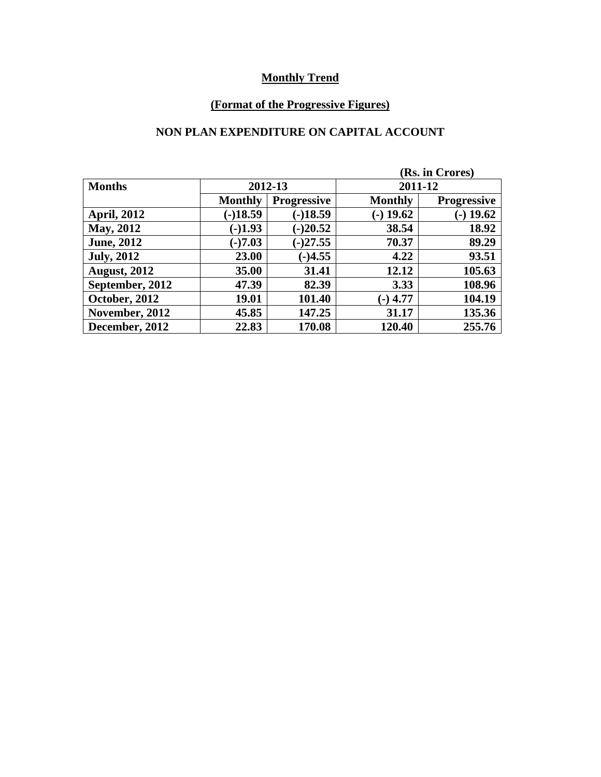## **(Format of the Progressive Figures)**

### **NON PLAN EXPENDITURE ON CAPITAL ACCOUNT**

| (Rs. in Crores)     |                |                    |                |                    |
|---------------------|----------------|--------------------|----------------|--------------------|
| <b>Months</b>       | 2012-13        |                    | 2011-12        |                    |
|                     | <b>Monthly</b> | <b>Progressive</b> | <b>Monthly</b> | <b>Progressive</b> |
| <b>April, 2012</b>  | $(-)18.59$     | $(-)18.59$         | $(-)$ 19.62    | $-$ ) 19.62        |
| <b>May, 2012</b>    | $(-)1.93$      | $(-)20.52$         | 38.54          | 18.92              |
| <b>June, 2012</b>   | $(-)7.03$      | $(-)27.55$         | 70.37          | 89.29              |
| <b>July, 2012</b>   | 23.00          | $(-)4.55$          | 4.22           | 93.51              |
| <b>August, 2012</b> | 35.00          | 31.41              | 12.12          | 105.63             |
| September, 2012     | 47.39          | 82.39              | 3.33           | 108.96             |
| October, 2012       | 19.01          | 101.40             | $(-)$ 4.77     | 104.19             |
| November, 2012      | 45.85          | 147.25             | 31.17          | 135.36             |
| December, 2012      | 22.83          | 170.08             | 120.40         | 255.76             |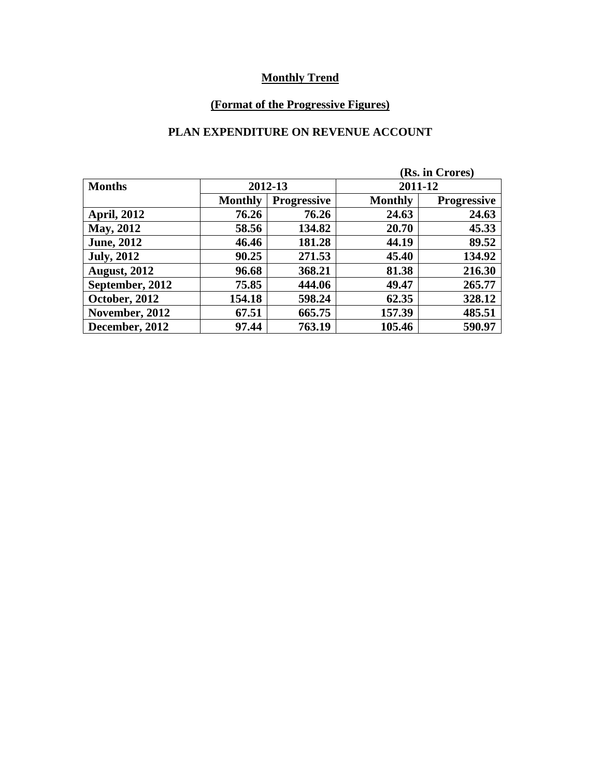## **(Format of the Progressive Figures)**

### **PLAN EXPENDITURE ON REVENUE ACCOUNT**

| (Rs. in Crores)     |                |                    |                |                    |  |
|---------------------|----------------|--------------------|----------------|--------------------|--|
| <b>Months</b>       | 2012-13        |                    | 2011-12        |                    |  |
|                     | <b>Monthly</b> | <b>Progressive</b> | <b>Monthly</b> | <b>Progressive</b> |  |
| <b>April, 2012</b>  | 76.26          | 76.26              | 24.63          | 24.63              |  |
| <b>May, 2012</b>    | 58.56          | 134.82             | 20.70          | 45.33              |  |
| <b>June</b> , 2012  | 46.46          | 181.28             | 44.19          | 89.52              |  |
| <b>July, 2012</b>   | 90.25          | 271.53             | 45.40          | 134.92             |  |
| <b>August, 2012</b> | 96.68          | 368.21             | 81.38          | 216.30             |  |
| September, 2012     | 75.85          | 444.06             | 49.47          | 265.77             |  |
| October, 2012       | 154.18         | 598.24             | 62.35          | 328.12             |  |
| November, 2012      | 67.51          | 665.75             | 157.39         | 485.51             |  |
| December, 2012      | 97.44          | 763.19             | 105.46         | 590.97             |  |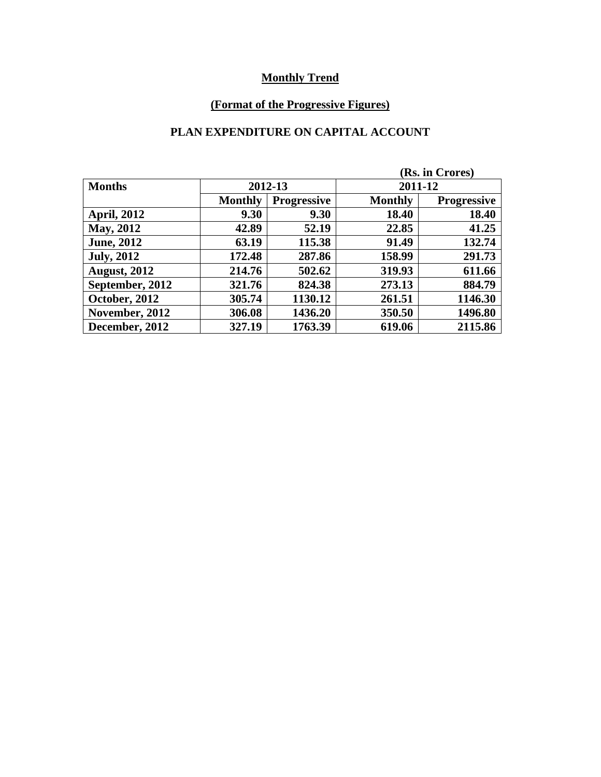## **(Format of the Progressive Figures)**

### **PLAN EXPENDITURE ON CAPITAL ACCOUNT**

| (Rs. in Crores)     |                |                    |                |                    |
|---------------------|----------------|--------------------|----------------|--------------------|
| <b>Months</b>       | 2012-13        |                    | 2011-12        |                    |
|                     | <b>Monthly</b> | <b>Progressive</b> | <b>Monthly</b> | <b>Progressive</b> |
| <b>April, 2012</b>  | 9.30           | 9.30               | 18.40          | 18.40              |
| <b>May, 2012</b>    | 42.89          | 52.19              | 22.85          | 41.25              |
| <b>June, 2012</b>   | 63.19          | 115.38             | 91.49          | 132.74             |
| <b>July, 2012</b>   | 172.48         | 287.86             | 158.99         | 291.73             |
| <b>August, 2012</b> | 214.76         | 502.62             | 319.93         | 611.66             |
| September, 2012     | 321.76         | 824.38             | 273.13         | 884.79             |
| October, 2012       | 305.74         | 1130.12            | 261.51         | 1146.30            |
| November, 2012      | 306.08         | 1436.20            | 350.50         | 1496.80            |
| December, 2012      | 327.19         | 1763.39            | 619.06         | 2115.86            |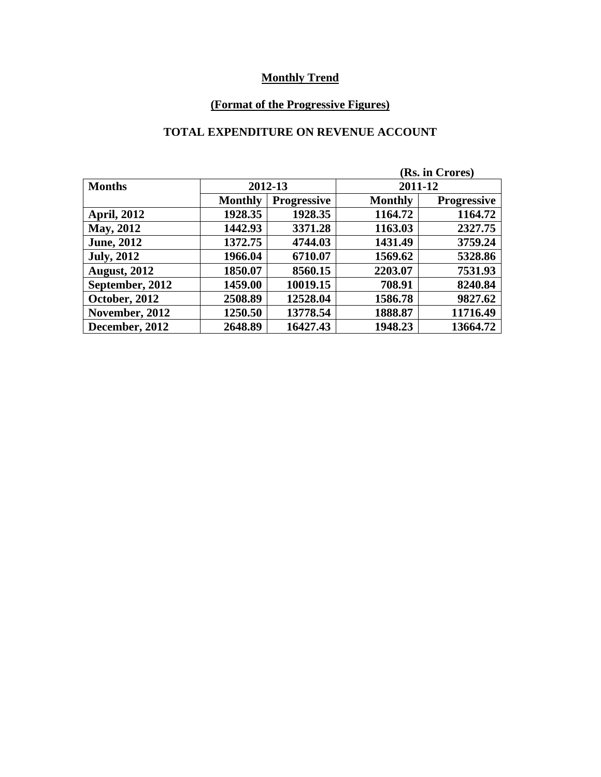## **(Format of the Progressive Figures)**

### **TOTAL EXPENDITURE ON REVENUE ACCOUNT**

| (Rs. in Crores)     |                |                    |                |                    |  |
|---------------------|----------------|--------------------|----------------|--------------------|--|
| <b>Months</b>       | 2012-13        |                    | 2011-12        |                    |  |
|                     | <b>Monthly</b> | <b>Progressive</b> | <b>Monthly</b> | <b>Progressive</b> |  |
| <b>April, 2012</b>  | 1928.35        | 1928.35            | 1164.72        | 1164.72            |  |
| <b>May, 2012</b>    | 1442.93        | 3371.28            | 1163.03        | 2327.75            |  |
| <b>June</b> , 2012  | 1372.75        | 4744.03            | 1431.49        | 3759.24            |  |
| <b>July, 2012</b>   | 1966.04        | 6710.07            | 1569.62        | 5328.86            |  |
| <b>August, 2012</b> | 1850.07        | 8560.15            | 2203.07        | 7531.93            |  |
| September, 2012     | 1459.00        | 10019.15           | 708.91         | 8240.84            |  |
| October, 2012       | 2508.89        | 12528.04           | 1586.78        | 9827.62            |  |
| November, 2012      | 1250.50        | 13778.54           | 1888.87        | 11716.49           |  |
| December, 2012      | 2648.89        | 16427.43           | 1948.23        | 13664.72           |  |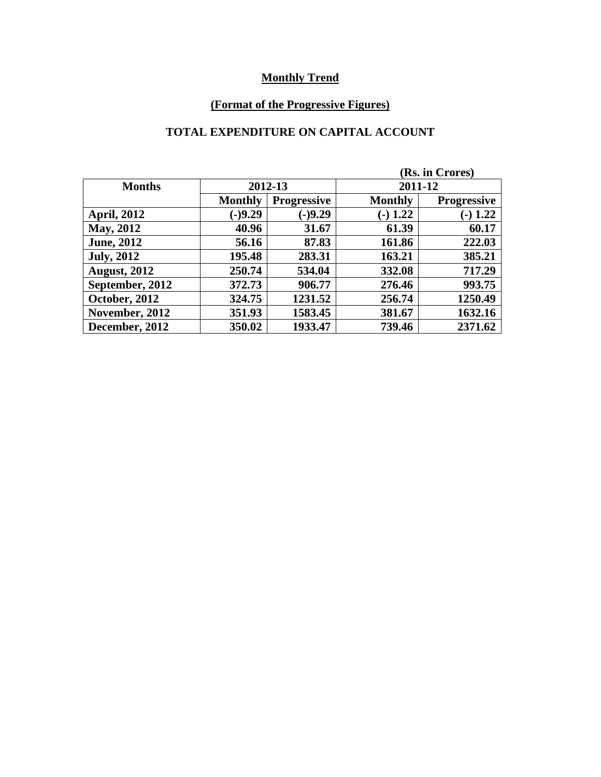## **(Format of the Progressive Figures)**

# **TOTAL EXPENDITURE ON CAPITAL ACCOUNT**

| (Rs. in Crores)     |                |                    |                |                    |
|---------------------|----------------|--------------------|----------------|--------------------|
| <b>Months</b>       | 2012-13        |                    | 2011-12        |                    |
|                     | <b>Monthly</b> | <b>Progressive</b> | <b>Monthly</b> | <b>Progressive</b> |
| <b>April, 2012</b>  | $(-)9.29$      | $(-)9.29$          | $(-) 1.22$     | $(-) 1.22$         |
| <b>May, 2012</b>    | 40.96          | 31.67              | 61.39          | 60.17              |
| <b>June, 2012</b>   | 56.16          | 87.83              | 161.86         | 222.03             |
| <b>July, 2012</b>   | 195.48         | 283.31             | 163.21         | 385.21             |
| <b>August, 2012</b> | 250.74         | 534.04             | 332.08         | 717.29             |
| September, 2012     | 372.73         | 906.77             | 276.46         | 993.75             |
| October, 2012       | 324.75         | 1231.52            | 256.74         | 1250.49            |
| November, 2012      | 351.93         | 1583.45            | 381.67         | 1632.16            |
| December, 2012      | 350.02         | 1933.47            | 739.46         | 2371.62            |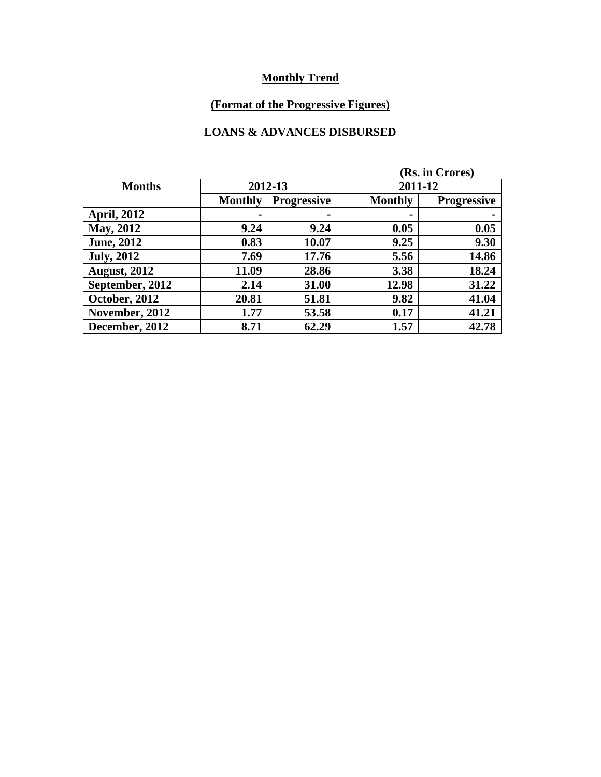## **(Format of the Progressive Figures)**

#### **LOANS & ADVANCES DISBURSED**

| (Rs. in Crores)     |                |                    |                |                    |
|---------------------|----------------|--------------------|----------------|--------------------|
| <b>Months</b>       | 2012-13        |                    | 2011-12        |                    |
|                     | <b>Monthly</b> | <b>Progressive</b> | <b>Monthly</b> | <b>Progressive</b> |
| <b>April, 2012</b>  |                | ۰                  | $\blacksquare$ | $\blacksquare$     |
| <b>May, 2012</b>    | 9.24           | 9.24               | 0.05           | 0.05               |
| <b>June, 2012</b>   | 0.83           | 10.07              | 9.25           | 9.30               |
| <b>July, 2012</b>   | 7.69           | 17.76              | 5.56           | 14.86              |
| <b>August, 2012</b> | 11.09          | 28.86              | 3.38           | 18.24              |
| September, 2012     | 2.14           | 31.00              | 12.98          | 31.22              |
| October, 2012       | 20.81          | 51.81              | 9.82           | 41.04              |
| November, 2012      | 1.77           | 53.58              | 0.17           | 41.21              |
| December, 2012      | 8.71           | 62.29              | 1.57           | 42.78              |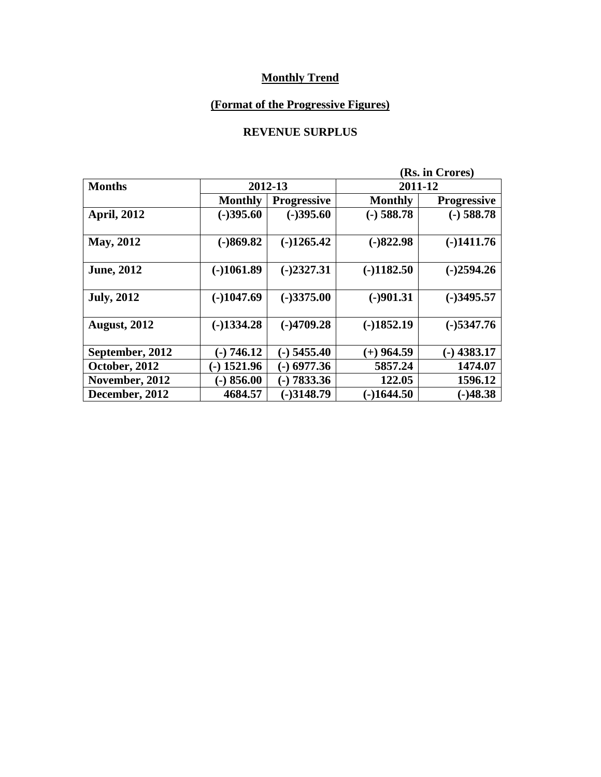## **(Format of the Progressive Figures)**

### **REVENUE SURPLUS**

|                     |                |                    |                | (Rs. in Crores)    |  |  |
|---------------------|----------------|--------------------|----------------|--------------------|--|--|
| <b>Months</b>       |                | 2012-13            |                | 2011-12            |  |  |
|                     | <b>Monthly</b> | <b>Progressive</b> | <b>Monthly</b> | <b>Progressive</b> |  |  |
| <b>April, 2012</b>  | $(-)395.60$    | $(-)395.60$        | $(-)$ 588.78   | $(-)$ 588.78       |  |  |
| May, 2012           | $(-)869.82$    | $(-)1265.42$       | $(-)822.98$    | $(-)1411.76$       |  |  |
| <b>June, 2012</b>   | $(-)1061.89$   | $(-)2327.31$       | $(-)1182.50$   | $(-)2594.26$       |  |  |
| <b>July, 2012</b>   | $(-)1047.69$   | $(-)3375.00$       | $(-)901.31$    | $(-)3495.57$       |  |  |
| <b>August, 2012</b> | $(-)1334.28$   | $(-)4709.28$       | $(-)1852.19$   | $(-)$ 5347.76      |  |  |
| September, 2012     | $(-) 746.12$   | (-) 5455.40        | $(+)$ 964.59   | $(-)$ 4383.17      |  |  |
| October, 2012       | $(-)$ 1521.96  | $(-)$ 6977.36      | 5857.24        | 1474.07            |  |  |
| November, 2012      | $(-) 856.00$   | $(-) 7833.36$      | 122.05         | 1596.12            |  |  |
| December, 2012      | 4684.57        | $(-)3148.79$       | $-1644.50$     | $(-)48.38$         |  |  |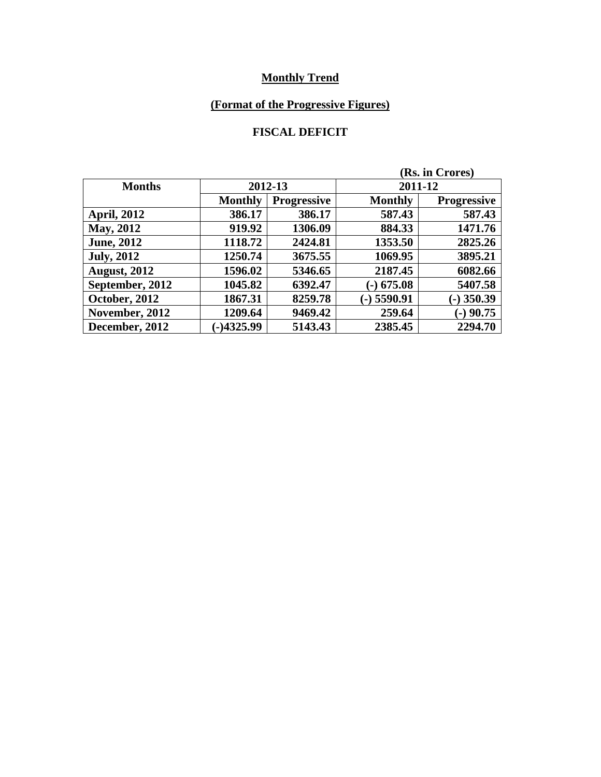## **(Format of the Progressive Figures)**

### **FISCAL DEFICIT**

| (Rs. in Crores)     |                |                    |                |                    |
|---------------------|----------------|--------------------|----------------|--------------------|
| <b>Months</b>       | 2012-13        |                    | 2011-12        |                    |
|                     | <b>Monthly</b> | <b>Progressive</b> | <b>Monthly</b> | <b>Progressive</b> |
| <b>April, 2012</b>  | 386.17         | 386.17             | 587.43         | 587.43             |
| <b>May, 2012</b>    | 919.92         | 1306.09            | 884.33         | 1471.76            |
| <b>June, 2012</b>   | 1118.72        | 2424.81            | 1353.50        | 2825.26            |
| <b>July, 2012</b>   | 1250.74        | 3675.55            | 1069.95        | 3895.21            |
| <b>August, 2012</b> | 1596.02        | 5346.65            | 2187.45        | 6082.66            |
| September, 2012     | 1045.82        | 6392.47            | $(-)$ 675.08   | 5407.58            |
| October, 2012       | 1867.31        | 8259.78            | $(-)$ 5590.91  | $-$ ) 350.39       |
| November, 2012      | 1209.64        | 9469.42            | 259.64         | $-)$ 90.75         |
| December, 2012      | $-14325.99$    | 5143.43            | 2385.45        | 2294.70            |